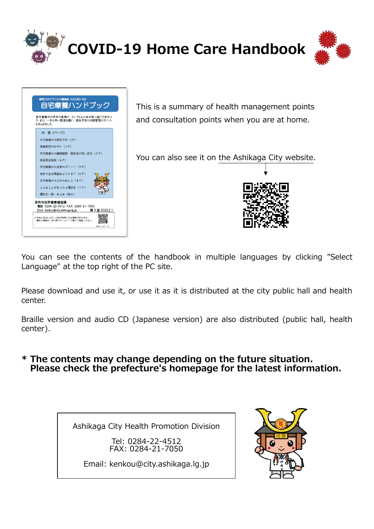

| 内 容 (ページ)                    |  |
|------------------------------|--|
| · 自宅療養中の感染予防 (1P)            |  |
| ・療養期間のめやす(2P)                |  |
| · 自宅療養中の健康観察 · 緊急性が高い症状 (3P) |  |
| · 检温等記録表 (4P)                |  |
| · 自宅療義中の食事のポイント (5P)         |  |
| ・食料や牛活用品はどうする?(6P)           |  |
| · 自宅療義中のごみの出し方 (6P)          |  |
| · こんなことがあったら相談を (7 P)        |  |
| ・相談先一覧 - まとめ(巻末)             |  |
| 足利市役所健康増進課                   |  |
|                              |  |

This is a summary of health management points and consultation points when you are at home.

You can also see it on the Ashikaga City website.



You can see the contents of the handbook in multiple languages by clicking "Select Language" at the top right of the PC site.

Please download and use it, or use it as it is distributed at the city public hall and health center.

Braille version and audio CD (Japanese version) are also distributed (public hall, health center).

#### **\* The contents may change depending on the future situation. Please check the prefecture's homepage for the latest information.**

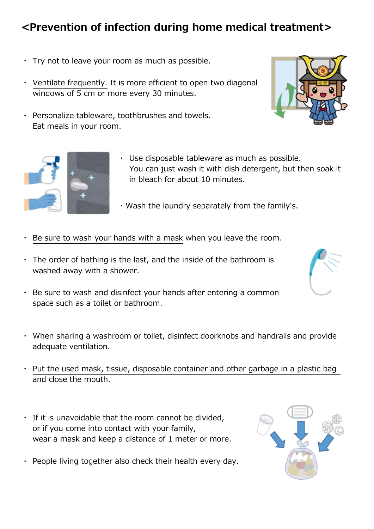## **<Prevention of infection during home medical treatment>**

- ・ Try not to leave your room as much as possible.
- ・ Ventilate frequently. It is more efficient to open two diagonal windows of 5 cm or more every 30 minutes.
- ・ Personalize tableware, toothbrushes and towels. Eat meals in your room.



- ・Wash the laundry separately from the family's.
- Be sure to wash your hands with a mask when you leave the room.
- $\cdot$  The order of bathing is the last, and the inside of the bathroom is washed away with a shower.
- ・ Be sure to wash and disinfect your hands after entering a common space such as a toilet or bathroom.
- ・ When sharing a washroom or toilet, disinfect doorknobs and handrails and provide adequate ventilation.
- Put the used mask, tissue, disposable container and other garbage in a plastic bag and close the mouth.
- ・ If it is unavoidable that the room cannot be divided, or if you come into contact with your family, wear a mask and keep a distance of 1 meter or more.
- ・ People living together also check their health every day.





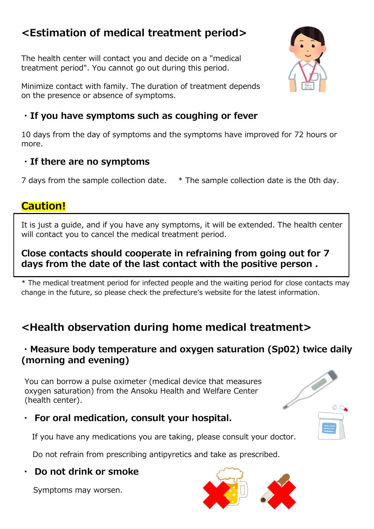## **<Estimation of medical treatment period>**

The health center will contact you and decide on a "medical treatment period". You cannot go out during this period.

Minimize contact with family. The duration of treatment depends on the presence or absence of symptoms.

## **・If you have symptoms such as coughing or fever**

10 days from the day of symptoms and the symptoms have improved for 72 hours or more.

### **・If there are no symptoms**

7 days from the sample collection date. \* The sample collection date is the 0th day.

## **Caution!**

It is just a guide, and if you have any symptoms, it will be extended. The health center will contact you to cancel the medical treatment period.

### **Close contacts should cooperate in refraining from going out for 7 days from the date of the last contact with the positive person .**

\* The medical treatment period for infected people and the waiting period for close contacts may change in the future, so please check the prefecture's website for the latest information.

## **<Health observation during home medical treatment>**

### **・Measure body temperature and oxygen saturation (Sp02) twice daily (morning and evening)**

You can borrow a pulse oximeter (medical device that measures oxygen saturation) from the Ansoku Health and Welfare Center (health center).

## **・ For oral medication, consult your hospital.**

If you have any medications you are taking, please consult your doctor.

Do not refrain from prescribing antipyretics and take as prescribed.

### **・ Do not drink or smoke**

Symptoms may worsen.





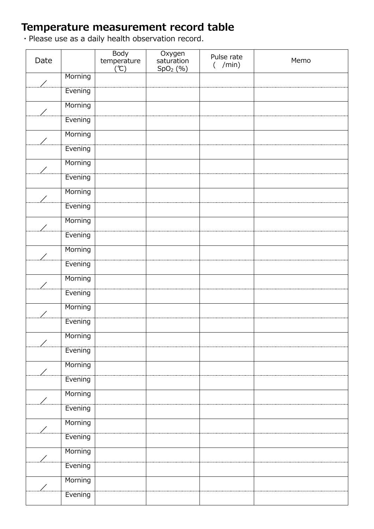## **Temperature measurement record table**

・Please use as a daily health observation record.

| Date |         | Body<br>temperature<br>(°C) | Oxygen<br>saturation<br>SpO <sub>2</sub> (% ) | Pulse rate<br>/min)<br>$\left($ | Memo |
|------|---------|-----------------------------|-----------------------------------------------|---------------------------------|------|
| ╱    | Morning |                             |                                               |                                 |      |
|      | Evening |                             |                                               |                                 |      |
| ╱    | Morning |                             |                                               |                                 |      |
|      | Evening |                             |                                               |                                 |      |
|      | Morning |                             |                                               |                                 |      |
|      | Evening |                             |                                               |                                 |      |
|      | Morning |                             |                                               |                                 |      |
|      | Evening |                             |                                               |                                 |      |
|      | Morning |                             |                                               |                                 |      |
|      | Evening |                             |                                               |                                 |      |
|      | Morning |                             |                                               |                                 |      |
|      | Evening |                             |                                               |                                 |      |
| ╱    | Morning |                             |                                               |                                 |      |
|      | Evening |                             |                                               |                                 |      |
|      | Morning |                             |                                               |                                 |      |
|      | Evening |                             |                                               |                                 |      |
|      | Morning |                             |                                               |                                 |      |
|      | Evening |                             |                                               |                                 |      |
|      | Morning |                             |                                               |                                 |      |
|      | Evening |                             |                                               |                                 |      |
|      | Morning |                             |                                               |                                 |      |
|      | Evening |                             |                                               |                                 |      |
|      | Morning |                             |                                               |                                 |      |
|      | Evening |                             |                                               |                                 |      |
|      | Morning |                             |                                               |                                 |      |
|      | Evening |                             |                                               |                                 |      |
|      | Morning |                             |                                               |                                 |      |
|      | Evening |                             |                                               |                                 |      |
|      | Morning |                             |                                               |                                 |      |
|      | Evening |                             |                                               |                                 |      |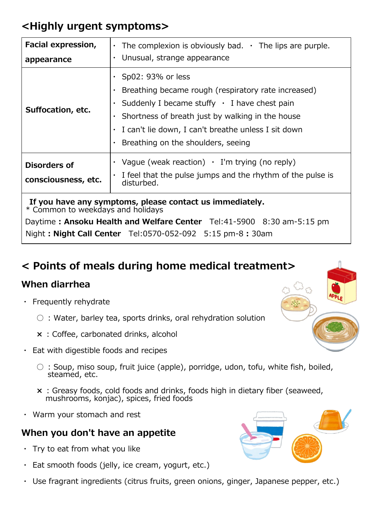## **<Highly urgent symptoms>**

| Facial expression,                                                                            | $\cdot$ The complexion is obviously bad. $\cdot$ The lips are purple.                                                                                                                                                                                                                   |  |  |
|-----------------------------------------------------------------------------------------------|-----------------------------------------------------------------------------------------------------------------------------------------------------------------------------------------------------------------------------------------------------------------------------------------|--|--|
| appearance                                                                                    | $\cdot$ Unusual, strange appearance                                                                                                                                                                                                                                                     |  |  |
| Suffocation, etc.                                                                             | $\cdot$ Sp02: 93% or less<br>Breathing became rough (respiratory rate increased)<br>Suddenly I became stuffy $\cdot$ I have chest pain<br>Shortness of breath just by walking in the house<br>I can't lie down, I can't breathe unless I sit down<br>Breathing on the shoulders, seeing |  |  |
| Disorders of<br>consciousness, etc.                                                           | • Vague (weak reaction) • I'm trying (no reply)<br>I feel that the pulse jumps and the rhythm of the pulse is<br>disturbed.                                                                                                                                                             |  |  |
| If you have any symptoms, please contact us immediately.<br>* Common to weekdays and holidays |                                                                                                                                                                                                                                                                                         |  |  |

Daytime **: Ansoku Health and Welfare Center** Tel:41-5900 8:30 am-5:15 pm Night **: Night Call Center** Tel:0570-052-092 5:15 pm-8 **:** 30am

## **< Points of meals during home medical treatment>**

## **When diarrhea**

- ・ Frequently rehydrate
	- **○** : Water, barley tea, sports drinks, oral rehydration solution
	- **×** : Coffee, carbonated drinks, alcohol
- ・ Eat with digestible foods and recipes
	- **○** : Soup, miso soup, fruit juice (apple), porridge, udon, tofu, white fish, boiled, steamed, etc.
	- **×** : Greasy foods, cold foods and drinks, foods high in dietary fiber (seaweed, mushrooms, konjac), spices, fried foods
- ・ Warm your stomach and rest

### **When you don't have an appetite**

- ・ Try to eat from what you like
- ・ Eat smooth foods (jelly, ice cream, yogurt, etc.)
- Use fragrant ingredients (citrus fruits, green onions, ginger, Japanese pepper, etc.)



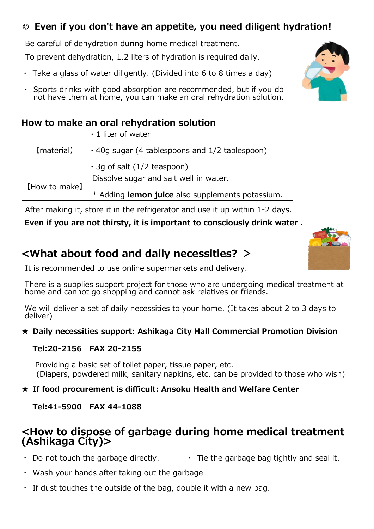## **◎ Even if you don't have an appetite, you need diligent hydration!**

Be careful of dehydration during home medical treatment.

To prevent dehydration, 1.2 liters of hydration is required daily.

- $\cdot$  Take a glass of water diligently. (Divided into 6 to 8 times a day)
- Sports drinks with good absorption are recommended, but if you do not have them at home, you can make an oral rehydration solution.

### **How to make an oral rehydration solution**

|               | $\cdot$ 1 liter of water                             |  |  |
|---------------|------------------------------------------------------|--|--|
| (material)    | $\cdot$ 40g sugar (4 tablespoons and 1/2 tablespoon) |  |  |
|               | $\cdot$ 3q of salt (1/2 teaspoon)                    |  |  |
|               | Dissolve sugar and salt well in water.               |  |  |
| [How to make] | * Adding lemon juice also supplements potassium.     |  |  |

After making it, store it in the refrigerator and use it up within 1-2 days.

#### **Even if you are not thirsty, it is important to consciously drink water .**

## **<What about food and daily necessities? >**

It is recommended to use online supermarkets and delivery.

There is a supplies support project for those who are undergoing medical treatment at home and cannot go shopping and cannot ask relatives or friends.

We will deliver a set of daily necessities to your home. (It takes about 2 to 3 days to deliver)

#### **★ Daily necessities support: Ashikaga City Hall Commercial Promotion Division**

#### **Tel:20-2156 FAX 20-2155**

 Providing a basic set of toilet paper, tissue paper, etc. (Diapers, powdered milk, sanitary napkins, etc. can be provided to those who wish)

#### ★ **If food procurement is difficult: Ansoku Health and Welfare Center**

#### **Tel:41-5900 FAX 44-1088**

## **<How to dispose of garbage during home medical treatment (Ashikaga City)>**

- Do not touch the garbage directly.  $\cdot$  Tie the garbage bag tightly and seal it.
- ・ Wash your hands after taking out the garbage
- $\cdot$  If dust touches the outside of the bag, double it with a new bag.



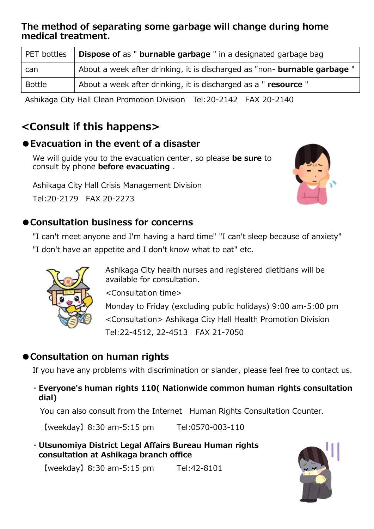#### **The method of separating some garbage will change during home medical treatment.**

| PET bottles   | <b>Dispose of as " burnable garbage "</b> in a designated garbage bag            |
|---------------|----------------------------------------------------------------------------------|
| can           | About a week after drinking, it is discharged as "non- <b>burnable garbage</b> " |
| <b>Bottle</b> | About a week after drinking, it is discharged as a "resource"                    |

Ashikaga City Hall Clean Promotion Division Tel:20-2142 FAX 20-2140

## **<Consult if this happens>**

### ●**Evacuation in the event of a disaster**

 We will guide you to the evacuation center, so please **be sure** to consult by phone **before evacuating** .

Ashikaga City Hall Crisis Management Division Tel:20-2179 FAX 20-2273



## ●**Consultation business for concerns**

"I can't meet anyone and I'm having a hard time" "I can't sleep because of anxiety" "I don't have an appetite and I don't know what to eat" etc.



 Ashikaga City health nurses and registered dietitians will be available for consultation.

<Consultation time>

Monday to Friday (excluding public holidays) 9:00 am-5:00 pm <Consultation> Ashikaga City Hall Health Promotion Division Tel:22-4512, 22-4513 FAX 21-7050

## ●**Consultation on human rights**

If you have any problems with discrimination or slander, please feel free to contact us.

#### ・**Everyone's human rights 110( Nationwide common human rights consultation dial)**

You can also consult from the Internet Human Rights Consultation Counter.

【weekday】8:30 am-5:15 pm Tel:0570-003-110

・**Utsunomiya District Legal Affairs Bureau Human rights consultation at Ashikaga branch office**

【weekday】8:30 am-5:15 pm Tel:42-8101

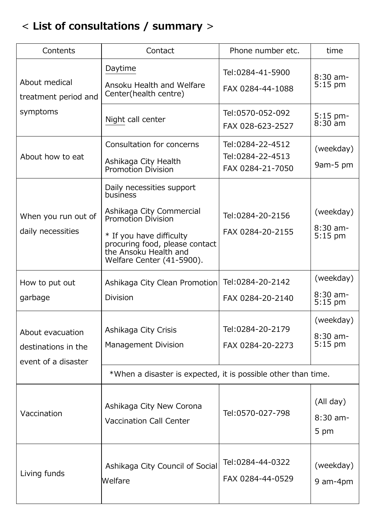# < **List of consultations / summary** >

| Contents                                                       | Contact                                                                                                                                                                                                     | Phone number etc.                                         | time                                 |  |
|----------------------------------------------------------------|-------------------------------------------------------------------------------------------------------------------------------------------------------------------------------------------------------------|-----------------------------------------------------------|--------------------------------------|--|
| About medical<br>treatment period and<br>symptoms              | Daytime<br>Ansoku Health and Welfare<br>Center(health centre)                                                                                                                                               | Tel: 0284-41-5900<br>FAX 0284-44-1088                     | $8:30$ am-<br>$5:15$ pm              |  |
|                                                                | Night call center                                                                                                                                                                                           | Tel:0570-052-092<br>FAX 028-623-2527                      | 5:15 pm-<br>$8:30$ am                |  |
| About how to eat                                               | Consultation for concerns<br>Ashikaga City Health<br><b>Promotion Division</b>                                                                                                                              | Tel: 0284-22-4512<br>Tel:0284-22-4513<br>FAX 0284-21-7050 | (weekday)<br>9am-5 pm                |  |
| When you run out of<br>daily necessities                       | Daily necessities support<br>business<br>Ashikaga City Commercial<br>Promotion Division<br>* If you have difficulty<br>procuring food, please contact<br>the Ansoku Health and<br>Welfare Center (41-5900). | Tel:0284-20-2156<br>FAX 0284-20-2155                      | (weekday)<br>$8:30$ am-<br>$5:15$ pm |  |
| How to put out<br>garbage                                      | Ashikaga City Clean Promotion<br><b>Division</b>                                                                                                                                                            | Tel:0284-20-2142<br>FAX 0284-20-2140                      | (weekday)<br>$8:30$ am-<br>$5:15$ pm |  |
| About evacuation<br>destinations in the<br>event of a disaster | Ashikaga City Crisis<br><b>Management Division</b>                                                                                                                                                          | Tel: 0284-20-2179<br>FAX 0284-20-2273                     | (weekday)<br>$8:30$ am-<br>$5:15$ pm |  |
|                                                                | *When a disaster is expected, it is possible other than time.                                                                                                                                               |                                                           |                                      |  |
| Vaccination                                                    | Ashikaga City New Corona<br><b>Vaccination Call Center</b>                                                                                                                                                  | Tel:0570-027-798                                          | (All day)<br>8:30 am-<br>5 pm        |  |
| Living funds                                                   | Ashikaga City Council of Social<br>Welfare                                                                                                                                                                  | Tel:0284-44-0322<br>FAX 0284-44-0529                      | (weekday)<br>9 am-4pm                |  |